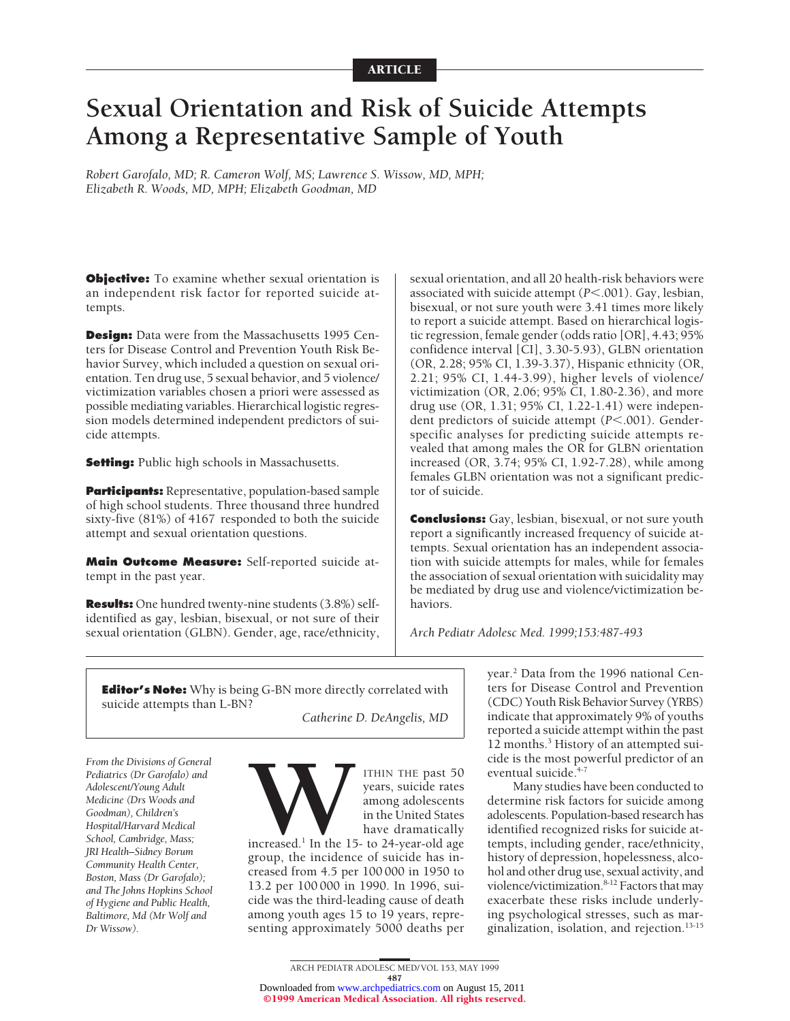# **Sexual Orientation and Risk of Suicide Attempts Among a Representative Sample of Youth**

*Robert Garofalo, MD; R. Cameron Wolf, MS; Lawrence S. Wissow, MD, MPH; Elizabeth R. Woods, MD, MPH; Elizabeth Goodman, MD*

**Objective:** To examine whether sexual orientation is an independent risk factor for reported suicide attempts.

**Design:** Data were from the Massachusetts 1995 Centers for Disease Control and Prevention Youth Risk Behavior Survey, which included a question on sexual orientation. Ten drug use, 5 sexual behavior, and 5 violence/ victimization variables chosen a priori were assessed as possible mediating variables. Hierarchical logistic regression models determined independent predictors of suicide attempts.

**Setting:** Public high schools in Massachusetts.

**Participants:** Representative, population-based sample of high school students. Three thousand three hundred sixty-five (81%) of 4167 responded to both the suicide attempt and sexual orientation questions.

**Main Outcome Measure:** Self-reported suicide attempt in the past year.

**Results:** One hundred twenty-nine students (3.8%) selfidentified as gay, lesbian, bisexual, or not sure of their sexual orientation (GLBN). Gender, age, race/ethnicity,

sexual orientation, and all 20 health-risk behaviors were associated with suicide attempt  $(P<.001)$ . Gay, lesbian, bisexual, or not sure youth were 3.41 times more likely to report a suicide attempt. Based on hierarchical logistic regression, female gender (odds ratio [OR], 4.43; 95% confidence interval [CI], 3.30-5.93), GLBN orientation (OR, 2.28; 95% CI, 1.39-3.37), Hispanic ethnicity (OR, 2.21; 95% CI, 1.44-3.99), higher levels of violence/ victimization (OR, 2.06; 95% CI, 1.80-2.36), and more drug use (OR, 1.31; 95% CI, 1.22-1.41) were independent predictors of suicide attempt ( $P$ <.001). Genderspecific analyses for predicting suicide attempts revealed that among males the OR for GLBN orientation increased (OR, 3.74; 95% CI, 1.92-7.28), while among females GLBN orientation was not a significant predictor of suicide.

**Conclusions:** Gay, lesbian, bisexual, or not sure youth report a significantly increased frequency of suicide attempts. Sexual orientation has an independent association with suicide attempts for males, while for females the association of sexual orientation with suicidality may be mediated by drug use and violence/victimization behaviors.

*Arch Pediatr Adolesc Med. 1999;153:487-493*

**Editor's Note:** Why is being G-BN more directly correlated with suicide attempts than L-BN?

*Catherine D. DeAngelis, MD*

*From the Divisions of General Pediatrics (Dr Garofalo) and Adolescent/Young Adult Medicine (Drs Woods and Goodman), Children's Hospital/Harvard Medical School, Cambridge, Mass; JRI Health–Sidney Borum Community Health Center, Boston, Mass (Dr Garofalo); and The Johns Hopkins School of Hygiene and Public Health, Baltimore, Md (Mr Wolf and Dr Wissow).*

**WARNA THE past 50**<br>years, suicide rates<br>among adolescents<br>in the United States<br>have dramatically<br>group, the incidence of suicide has inyears, suicide rates among adolescents in the United States

have dramatically increased.<sup>1</sup> In the 15- to 24-year-old age group, the incidence of suicide has increased from 4.5 per 100 000 in 1950 to 13.2 per 100 000 in 1990. In 1996, suicide was the third-leading cause of death among youth ages 15 to 19 years, representing approximately 5000 deaths per year.2 Data from the 1996 national Centers for Disease Control and Prevention (CDC) Youth Risk Behavior Survey (YRBS) indicate that approximately 9% of youths reported a suicide attempt within the past 12 months.3 History of an attempted suicide is the most powerful predictor of an eventual suicide.<sup>4-7</sup>

Many studies have been conducted to determine risk factors for suicide among adolescents. Population-based research has identified recognized risks for suicide attempts, including gender, race/ethnicity, history of depression, hopelessness, alcohol and other drug use, sexual activity, and violence/victimization.8-12 Factors that may exacerbate these risks include underlying psychological stresses, such as marginalization, isolation, and rejection.<sup>13-15</sup>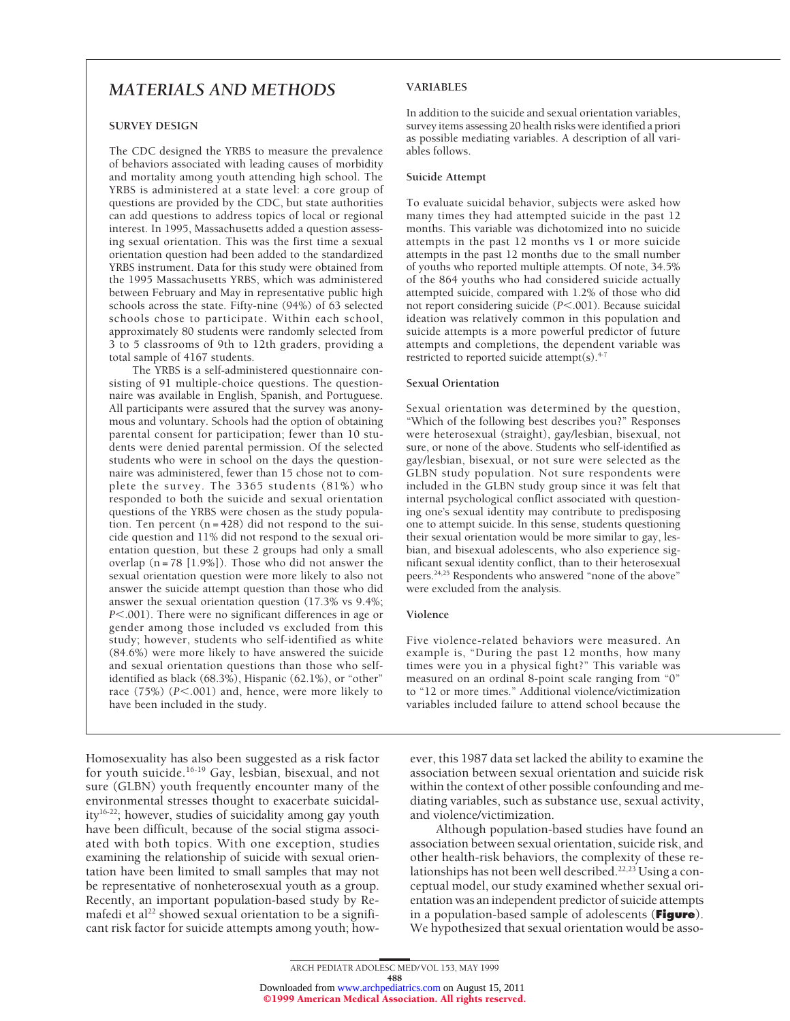# *MATERIALS AND METHODS*

# **SURVEY DESIGN**

The CDC designed the YRBS to measure the prevalence of behaviors associated with leading causes of morbidity and mortality among youth attending high school. The YRBS is administered at a state level: a core group of questions are provided by the CDC, but state authorities can add questions to address topics of local or regional interest. In 1995, Massachusetts added a question assessing sexual orientation. This was the first time a sexual orientation question had been added to the standardized YRBS instrument. Data for this study were obtained from the 1995 Massachusetts YRBS, which was administered between February and May in representative public high schools across the state. Fifty-nine (94%) of 63 selected schools chose to participate. Within each school, approximately 80 students were randomly selected from 3 to 5 classrooms of 9th to 12th graders, providing a total sample of 4167 students.

The YRBS is a self-administered questionnaire consisting of 91 multiple-choice questions. The questionnaire was available in English, Spanish, and Portuguese. All participants were assured that the survey was anonymous and voluntary. Schools had the option of obtaining parental consent for participation; fewer than 10 students were denied parental permission. Of the selected students who were in school on the days the questionnaire was administered, fewer than 15 chose not to complete the survey. The 3365 students (81%) who responded to both the suicide and sexual orientation questions of the YRBS were chosen as the study population. Ten percent  $(n = 428)$  did not respond to the suicide question and 11% did not respond to the sexual orientation question, but these 2 groups had only a small overlap  $(n = 78 [1.9\%])$ . Those who did not answer the sexual orientation question were more likely to also not answer the suicide attempt question than those who did answer the sexual orientation question (17.3% vs 9.4%; *P*<.001). There were no significant differences in age or gender among those included vs excluded from this study; however, students who self-identified as white (84.6%) were more likely to have answered the suicide and sexual orientation questions than those who selfidentified as black (68.3%), Hispanic (62.1%), or "other" race (75%) (*P*<.001) and, hence, were more likely to have been included in the study.

Homosexuality has also been suggested as a risk factor for youth suicide.<sup>16-19</sup> Gay, lesbian, bisexual, and not sure (GLBN) youth frequently encounter many of the environmental stresses thought to exacerbate suicidality16-22; however, studies of suicidality among gay youth have been difficult, because of the social stigma associated with both topics. With one exception, studies examining the relationship of suicide with sexual orientation have been limited to small samples that may not be representative of nonheterosexual youth as a group. Recently, an important population-based study by Remafedi et al<sup>22</sup> showed sexual orientation to be a significant risk factor for suicide attempts among youth; how-

# **VARIABLES**

In addition to the suicide and sexual orientation variables, survey items assessing 20 health risks were identified a priori as possible mediating variables. A description of all variables follows.

#### **Suicide Attempt**

To evaluate suicidal behavior, subjects were asked how many times they had attempted suicide in the past 12 months. This variable was dichotomized into no suicide attempts in the past 12 months vs 1 or more suicide attempts in the past 12 months due to the small number of youths who reported multiple attempts. Of note, 34.5% of the 864 youths who had considered suicide actually attempted suicide, compared with 1.2% of those who did not report considering suicide ( $P$ <.001). Because suicidal ideation was relatively common in this population and suicide attempts is a more powerful predictor of future attempts and completions, the dependent variable was restricted to reported suicide attempt(s). $4-7$ 

#### **Sexual Orientation**

Sexual orientation was determined by the question, "Which of the following best describes you?" Responses were heterosexual (straight), gay/lesbian, bisexual, not sure, or none of the above. Students who self-identified as gay/lesbian, bisexual, or not sure were selected as the GLBN study population. Not sure respondents were included in the GLBN study group since it was felt that internal psychological conflict associated with questioning one's sexual identity may contribute to predisposing one to attempt suicide. In this sense, students questioning their sexual orientation would be more similar to gay, lesbian, and bisexual adolescents, who also experience significant sexual identity conflict, than to their heterosexual peers.24,25 Respondents who answered "none of the above" were excluded from the analysis.

#### **Violence**

Five violence-related behaviors were measured. An example is, "During the past 12 months, how many times were you in a physical fight?" This variable was measured on an ordinal 8-point scale ranging from "0" to "12 or more times." Additional violence/victimization variables included failure to attend school because the

ever, this 1987 data set lacked the ability to examine the association between sexual orientation and suicide risk within the context of other possible confounding and mediating variables, such as substance use, sexual activity, and violence/victimization.

Although population-based studies have found an association between sexual orientation, suicide risk, and other health-risk behaviors, the complexity of these relationships has not been well described.<sup>22,23</sup> Using a conceptual model, our study examined whether sexual orientation was an independent predictor of suicide attempts in a population-based sample of adolescents (**Figure**). We hypothesized that sexual orientation would be asso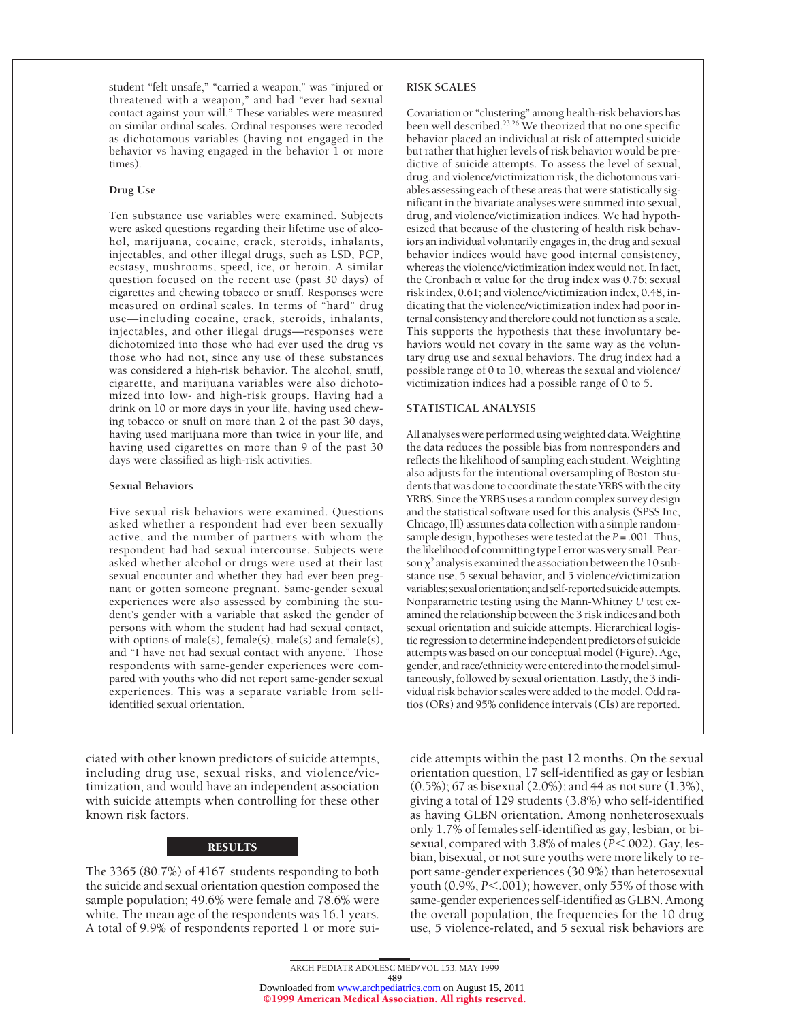student "felt unsafe," "carried a weapon," was "injured or threatened with a weapon," and had "ever had sexual contact against your will." These variables were measured on similar ordinal scales. Ordinal responses were recoded as dichotomous variables (having not engaged in the behavior vs having engaged in the behavior 1 or more times).

# **Drug Use**

Ten substance use variables were examined. Subjects were asked questions regarding their lifetime use of alcohol, marijuana, cocaine, crack, steroids, inhalants, injectables, and other illegal drugs, such as LSD, PCP, ecstasy, mushrooms, speed, ice, or heroin. A similar question focused on the recent use (past 30 days) of cigarettes and chewing tobacco or snuff. Responses were measured on ordinal scales. In terms of "hard" drug use—including cocaine, crack, steroids, inhalants, injectables, and other illegal drugs—responses were dichotomized into those who had ever used the drug vs those who had not, since any use of these substances was considered a high-risk behavior. The alcohol, snuff, cigarette, and marijuana variables were also dichotomized into low- and high-risk groups. Having had a drink on 10 or more days in your life, having used chewing tobacco or snuff on more than 2 of the past 30 days, having used marijuana more than twice in your life, and having used cigarettes on more than 9 of the past 30 days were classified as high-risk activities.

#### **Sexual Behaviors**

Five sexual risk behaviors were examined. Questions asked whether a respondent had ever been sexually active, and the number of partners with whom the respondent had had sexual intercourse. Subjects were asked whether alcohol or drugs were used at their last sexual encounter and whether they had ever been pregnant or gotten someone pregnant. Same-gender sexual experiences were also assessed by combining the student's gender with a variable that asked the gender of persons with whom the student had had sexual contact, with options of male(s), female(s), male(s) and female(s), and "I have not had sexual contact with anyone." Those respondents with same-gender experiences were compared with youths who did not report same-gender sexual experiences. This was a separate variable from selfidentified sexual orientation.

ciated with other known predictors of suicide attempts, including drug use, sexual risks, and violence/victimization, and would have an independent association with suicide attempts when controlling for these other known risk factors.

#### RESULTS

The 3365 (80.7%) of 4167 students responding to both the suicide and sexual orientation question composed the sample population; 49.6% were female and 78.6% were white. The mean age of the respondents was 16.1 years. A total of 9.9% of respondents reported 1 or more sui-

#### **RISK SCALES**

Covariation or "clustering" among health-risk behaviors has been well described.<sup>23,26</sup> We theorized that no one specific behavior placed an individual at risk of attempted suicide but rather that higher levels of risk behavior would be predictive of suicide attempts. To assess the level of sexual, drug, and violence/victimization risk, the dichotomous variables assessing each of these areas that were statistically significant in the bivariate analyses were summed into sexual, drug, and violence/victimization indices. We had hypothesized that because of the clustering of health risk behaviors an individual voluntarily engages in, the drug and sexual behavior indices would have good internal consistency, whereas the violence/victimization index would not. In fact, the Cronbach  $\alpha$  value for the drug index was 0.76; sexual risk index, 0.61; and violence/victimization index, 0.48, indicating that the violence/victimization index had poor internal consistency and therefore could not function as a scale. This supports the hypothesis that these involuntary behaviors would not covary in the same way as the voluntary drug use and sexual behaviors. The drug index had a possible range of 0 to 10, whereas the sexual and violence/ victimization indices had a possible range of 0 to 5.

# **STATISTICAL ANALYSIS**

All analyses were performed using weighted data. Weighting the data reduces the possible bias from nonresponders and reflects the likelihood of sampling each student. Weighting also adjusts for the intentional oversampling of Boston students that was done to coordinate the state YRBS with the city YRBS. Since the YRBS uses a random complex survey design and the statistical software used for this analysis (SPSS Inc, Chicago, Ill) assumes data collection with a simple randomsample design, hypotheses were tested at the *P* = .001. Thus, the likelihood of committing type I error was very small. Pearson  $\chi^2$  analysis examined the association between the 10 substance use, 5 sexual behavior, and 5 violence/victimization variables; sexual orientation; and self-reported suicide attempts. Nonparametric testing using the Mann-Whitney *U* test examined the relationship between the 3 risk indices and both sexual orientation and suicide attempts. Hierarchical logistic regression to determine independent predictors of suicide attempts was based on our conceptual model (Figure). Age, gender, and race/ethnicity were entered into the model simultaneously, followed by sexual orientation. Lastly, the 3 individual risk behavior scales were added to the model. Odd ratios (ORs) and 95% confidence intervals (CIs) are reported.

cide attempts within the past 12 months. On the sexual orientation question, 17 self-identified as gay or lesbian (0.5%); 67 as bisexual (2.0%); and 44 as not sure (1.3%), giving a total of 129 students (3.8%) who self-identified as having GLBN orientation. Among nonheterosexuals only 1.7% of females self-identified as gay, lesbian, or bisexual, compared with 3.8% of males ( $P$ <.002). Gay, lesbian, bisexual, or not sure youths were more likely to report same-gender experiences (30.9%) than heterosexual youth (0.9%, *P*<.001); however, only 55% of those with same-gender experiences self-identified as GLBN. Among the overall population, the frequencies for the 10 drug use, 5 violence-related, and 5 sexual risk behaviors are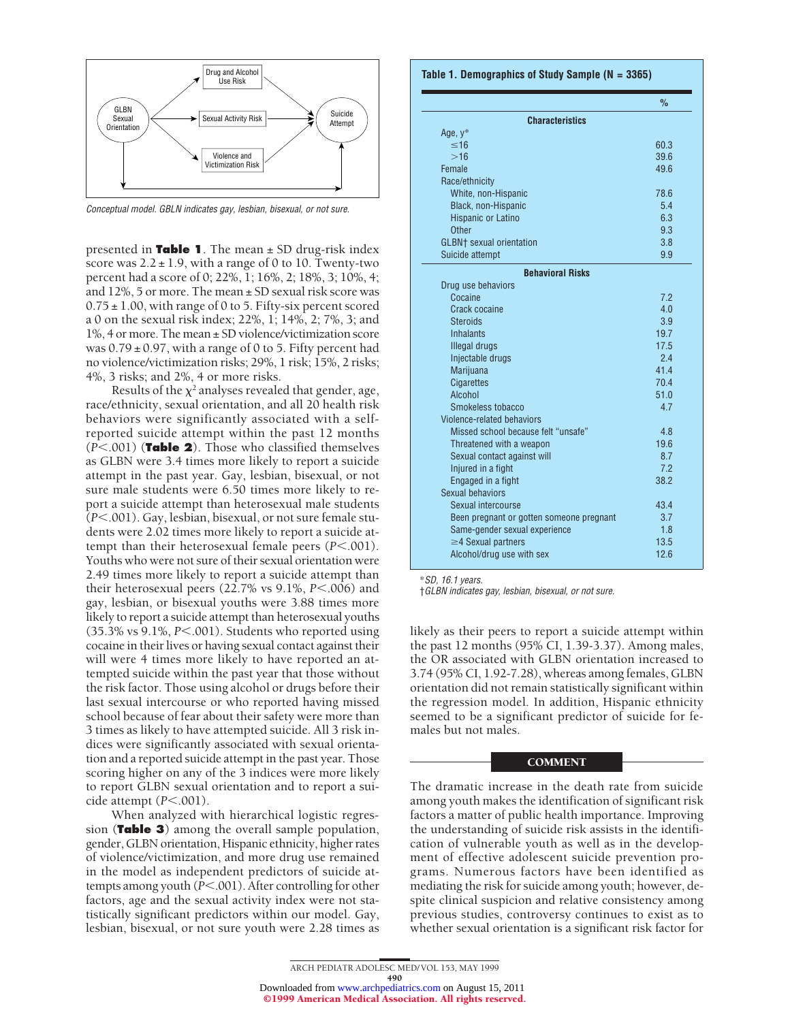

Conceptual model. GBLN indicates gay, lesbian, bisexual, or not sure.

presented in **Table 1**. The mean ± SD drug-risk index score was  $2.2 \pm 1.9$ , with a range of 0 to 10. Twenty-two percent had a score of 0; 22%, 1; 16%, 2; 18%, 3; 10%, 4; and  $12\%$ , 5 or more. The mean  $\pm$  SD sexual risk score was  $0.75 \pm 1.00$ , with range of 0 to 5. Fifty-six percent scored a 0 on the sexual risk index; 22%, 1; 14%, 2; 7%, 3; and 1%, 4 or more. The mean ± SD violence/victimization score was  $0.79 \pm 0.97$ , with a range of 0 to 5. Fifty percent had no violence/victimization risks; 29%, 1 risk; 15%, 2 risks; 4%, 3 risks; and 2%, 4 or more risks.

Results of the  $\chi^2$  analyses revealed that gender, age, race/ethnicity, sexual orientation, and all 20 health risk behaviors were significantly associated with a selfreported suicide attempt within the past 12 months (*P*<.001) (Table 2). Those who classified themselves as GLBN were 3.4 times more likely to report a suicide attempt in the past year. Gay, lesbian, bisexual, or not sure male students were 6.50 times more likely to report a suicide attempt than heterosexual male students ( $P$ <.001). Gay, lesbian, bisexual, or not sure female students were 2.02 times more likely to report a suicide attempt than their heterosexual female peers  $(P<.001)$ . Youths who were not sure of their sexual orientation were 2.49 times more likely to report a suicide attempt than their heterosexual peers (22.7% vs 9.1%, *P*<.006) and gay, lesbian, or bisexual youths were 3.88 times more likely to report a suicide attempt than heterosexual youths  $(35.3\% \text{ vs } 9.1\%, P<.001)$ . Students who reported using cocaine in their lives or having sexual contact against their will were 4 times more likely to have reported an attempted suicide within the past year that those without the risk factor. Those using alcohol or drugs before their last sexual intercourse or who reported having missed school because of fear about their safety were more than 3 times as likely to have attempted suicide. All 3 risk indices were significantly associated with sexual orientation and a reported suicide attempt in the past year. Those scoring higher on any of the 3 indices were more likely to report GLBN sexual orientation and to report a suicide attempt ( $P$ <.001).

When analyzed with hierarchical logistic regression (**Table 3**) among the overall sample population, gender, GLBN orientation, Hispanic ethnicity, higher rates of violence/victimization, and more drug use remained in the model as independent predictors of suicide attempts among youth  $(\overline{P} < .001)$ . After controlling for other factors, age and the sexual activity index were not statistically significant predictors within our model. Gay, lesbian, bisexual, or not sure youth were 2.28 times as

|                                          | $\%$ |
|------------------------------------------|------|
| <b>Characteristics</b>                   |      |
| Age, y*                                  |      |
| ≤16                                      | 60.3 |
| >16                                      | 39.6 |
| Female                                   | 49.6 |
| Race/ethnicity                           |      |
| White, non-Hispanic                      | 78.6 |
| Black, non-Hispanic                      | 5.4  |
| Hispanic or Latino                       | 6.3  |
| Other                                    | 9.3  |
| <b>GLBN</b> † sexual orientation         | 3.8  |
| Suicide attempt                          | 9.9  |
| <b>Behavioral Risks</b>                  |      |
| Drug use behaviors                       |      |
| Cocaine                                  | 7.2  |
| Crack cocaine                            | 4.0  |
| <b>Steroids</b>                          | 3.9  |
| <b>Inhalants</b>                         | 19.7 |
| <b>Illegal drugs</b>                     | 17.5 |
| Injectable drugs                         | 2.4  |
| Marijuana                                | 41.4 |
| <b>Cigarettes</b>                        | 70.4 |
| Alcohol                                  | 51.0 |
| Smokeless tobacco                        | 4.7  |
| Violence-related behaviors               |      |
| Missed school because felt "unsafe"      | 4.8  |
| Threatened with a weapon                 | 19.6 |
| Sexual contact against will              | 8.7  |
| Injured in a fight                       | 7.2  |
| Engaged in a fight                       | 38.2 |
| Sexual behaviors                         |      |
| Sexual intercourse                       | 43.4 |
| Been pregnant or gotten someone pregnant | 3.7  |
| Same-gender sexual experience            | 1.8  |
| $\geq$ 4 Sexual partners                 | 13.5 |
| Alcohol/drug use with sex                | 12.6 |

\*SD, 16.1 years.

†GLBN indicates gay, lesbian, bisexual, or not sure.

likely as their peers to report a suicide attempt within the past 12 months (95% CI, 1.39-3.37). Among males, the OR associated with GLBN orientation increased to 3.74 (95% CI, 1.92-7.28), whereas among females, GLBN orientation did not remain statistically significant within the regression model. In addition, Hispanic ethnicity seemed to be a significant predictor of suicide for females but not males.

# **COMMENT**

The dramatic increase in the death rate from suicide among youth makes the identification of significant risk factors a matter of public health importance. Improving the understanding of suicide risk assists in the identification of vulnerable youth as well as in the development of effective adolescent suicide prevention programs. Numerous factors have been identified as mediating the risk for suicide among youth; however, despite clinical suspicion and relative consistency among previous studies, controversy continues to exist as to whether sexual orientation is a significant risk factor for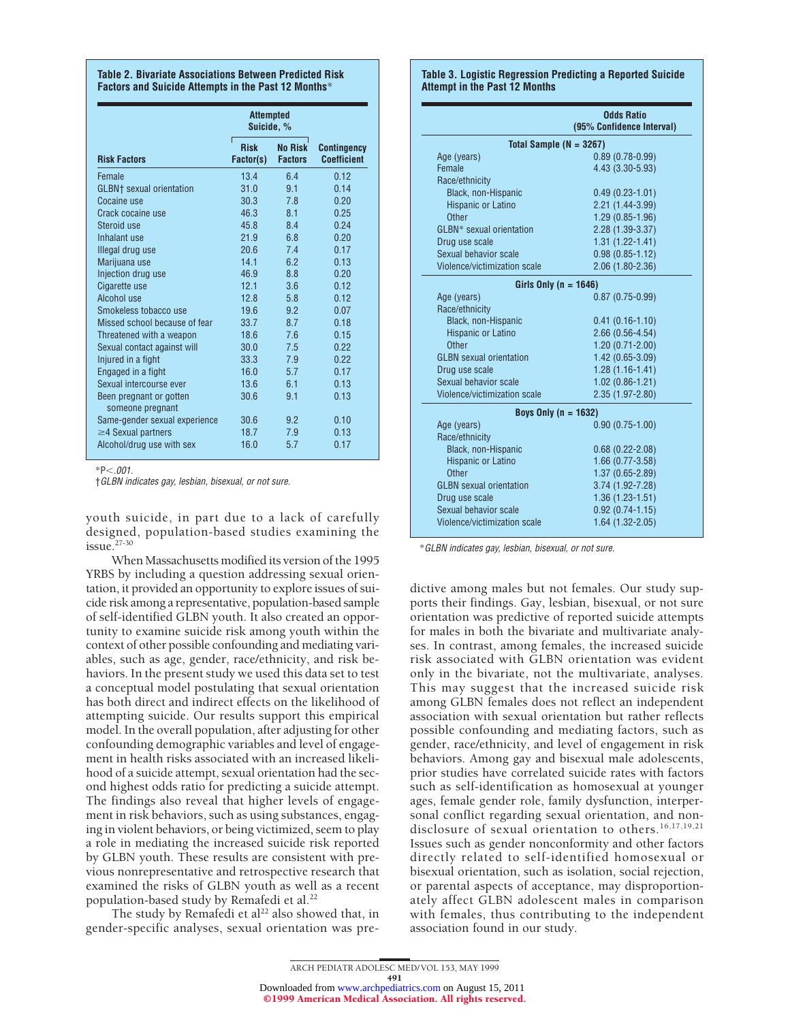#### **Table 2. Bivariate Associations Between Predicted Risk Factors and Suicide Attempts in the Past 12 Months**\*

|                                             | <b>Attempted</b><br>Suicide, % |                                  |                                          |
|---------------------------------------------|--------------------------------|----------------------------------|------------------------------------------|
| <b>Risk Factors</b>                         | <b>Risk</b><br>Factor(s)       | <b>No Risk</b><br><b>Factors</b> | <b>Contingency</b><br><b>Coefficient</b> |
| Female                                      | 13.4                           | 6.4                              | 0.12                                     |
| <b>GLBN</b> † sexual orientation            | 31.0                           | 9.1                              | 0.14                                     |
| Cocaine use                                 | 30.3                           | 7.8                              | 0.20                                     |
| Crack cocaine use                           | 46.3                           | 8.1                              | 0.25                                     |
| Steroid use                                 | 45.8                           | 8.4                              | 0.24                                     |
| Inhalant use                                | 21.9                           | 6.8                              | 0.20                                     |
| Illegal drug use                            | 20.6                           | 7.4                              | 0.17                                     |
| Marijuana use                               | 14.1                           | 6.2                              | 0.13                                     |
| Injection drug use                          | 46.9                           | 8.8                              | 0.20                                     |
| Cigarette use                               | 12.1                           | 3.6                              | 0.12                                     |
| Alcohol use                                 | 12.8                           | 5.8                              | 0.12                                     |
| Smokeless tobacco use                       | 19.6                           | 9.2                              | 0.07                                     |
| Missed school because of fear               | 33.7                           | 8.7                              | 0.18                                     |
| Threatened with a weapon                    | 18.6                           | 7.6                              | 0.15                                     |
| Sexual contact against will                 | 30.0                           | 7.5                              | 0.22                                     |
| Injured in a fight                          | 33.3                           | 7.9                              | 0.22                                     |
| Engaged in a fight                          | 16.0                           | 5.7                              | 0.17                                     |
| Sexual intercourse ever                     | 13.6                           | 6.1                              | 0.13                                     |
| Been pregnant or gotten<br>someone pregnant | 30.6                           | 9.1                              | 0.13                                     |
| Same-gender sexual experience               | 30.6                           | 9.2                              | 0.10                                     |
| $\geq$ 4 Sexual partners                    | 18.7                           | 7.9                              | 0.13                                     |
| Alcohol/drug use with sex                   | 16.0                           | 5.7                              | 0.17                                     |

 $*P<.001$ 

†GLBN indicates gay, lesbian, bisexual, or not sure.

youth suicide, in part due to a lack of carefully designed, population-based studies examining the  $i$ ssue.<sup>27-30</sup>

When Massachusetts modified its version of the 1995 YRBS by including a question addressing sexual orientation, it provided an opportunity to explore issues of suicide risk among a representative, population-based sample of self-identified GLBN youth. It also created an opportunity to examine suicide risk among youth within the context of other possible confounding and mediating variables, such as age, gender, race/ethnicity, and risk behaviors. In the present study we used this data set to test a conceptual model postulating that sexual orientation has both direct and indirect effects on the likelihood of attempting suicide. Our results support this empirical model. In the overall population, after adjusting for other confounding demographic variables and level of engagement in health risks associated with an increased likelihood of a suicide attempt, sexual orientation had the second highest odds ratio for predicting a suicide attempt. The findings also reveal that higher levels of engagement in risk behaviors, such as using substances, engaging in violent behaviors, or being victimized, seem to play a role in mediating the increased suicide risk reported by GLBN youth. These results are consistent with previous nonrepresentative and retrospective research that examined the risks of GLBN youth as well as a recent population-based study by Remafedi et al.<sup>22</sup>

The study by Remafedi et al<sup>22</sup> also showed that, in gender-specific analyses, sexual orientation was pre-

#### **Table 3. Logistic Regression Predicting a Reported Suicide Attempt in the Past 12 Months**

|                                | <b>Odds Ratio</b><br>(95% Confidence Interval) |  |  |
|--------------------------------|------------------------------------------------|--|--|
| Total Sample $(N = 3267)$      |                                                |  |  |
| Age (years)                    | $0.89(0.78-0.99)$                              |  |  |
| Female                         | 4.43 (3.30-5.93)                               |  |  |
| Race/ethnicity                 |                                                |  |  |
| Black, non-Hispanic            | $0.49(0.23 - 1.01)$                            |  |  |
| Hispanic or Latino             | 2.21 (1.44-3.99)                               |  |  |
| Other                          | 1.29 (0.85-1.96)                               |  |  |
| GI BN* sexual orientation      | 2.28 (1.39-3.37)                               |  |  |
| Drug use scale                 | $1.31(1.22 - 1.41)$                            |  |  |
| Sexual behavior scale          | $0.98(0.85 - 1.12)$                            |  |  |
| Violence/victimization scale   | $2.06(1.80-2.36)$                              |  |  |
| Girls Only ( $n = 1646$ )      |                                                |  |  |
| Age (years)                    | $0.87(0.75-0.99)$                              |  |  |
| Race/ethnicity                 |                                                |  |  |
| Black, non-Hispanic            | $0.41(0.16-1.10)$                              |  |  |
| Hispanic or Latino             | $2.66(0.56-4.54)$                              |  |  |
| <b>Other</b>                   | $1.20(0.71 - 2.00)$                            |  |  |
| <b>GLBN</b> sexual orientation | 1.42 (0.65-3.09)                               |  |  |
| Drug use scale                 | $1.28(1.16-1.41)$                              |  |  |
| Sexual behavior scale          | $1.02(0.86 - 1.21)$                            |  |  |
| Violence/victimization scale   | $2.35(1.97 - 2.80)$                            |  |  |
| Boys Only ( $n = 1632$ )       |                                                |  |  |
| Age (years)                    | $0.90(0.75-1.00)$                              |  |  |
| Race/ethnicity                 |                                                |  |  |
| Black, non-Hispanic            | $0.68(0.22-2.08)$                              |  |  |
| <b>Hispanic or Latino</b>      | $1.66(0.77-3.58)$                              |  |  |
| Other                          | 1.37 (0.65-2.89)                               |  |  |
| <b>GLBN</b> sexual orientation | 3.74 (1.92-7.28)                               |  |  |
| Drug use scale                 | $1.36(1.23-1.51)$                              |  |  |
| Sexual behavior scale          | $0.92(0.74 - 1.15)$                            |  |  |
|                                |                                                |  |  |

\*GLBN indicates gay, lesbian, bisexual, or not sure.

dictive among males but not females. Our study supports their findings. Gay, lesbian, bisexual, or not sure orientation was predictive of reported suicide attempts for males in both the bivariate and multivariate analyses. In contrast, among females, the increased suicide risk associated with GLBN orientation was evident only in the bivariate, not the multivariate, analyses. This may suggest that the increased suicide risk among GLBN females does not reflect an independent association with sexual orientation but rather reflects possible confounding and mediating factors, such as gender, race/ethnicity, and level of engagement in risk behaviors. Among gay and bisexual male adolescents, prior studies have correlated suicide rates with factors such as self-identification as homosexual at younger ages, female gender role, family dysfunction, interpersonal conflict regarding sexual orientation, and nondisclosure of sexual orientation to others.16,17,19,21 Issues such as gender nonconformity and other factors directly related to self-identified homosexual or bisexual orientation, such as isolation, social rejection, or parental aspects of acceptance, may disproportionately affect GLBN adolescent males in comparison with females, thus contributing to the independent association found in our study.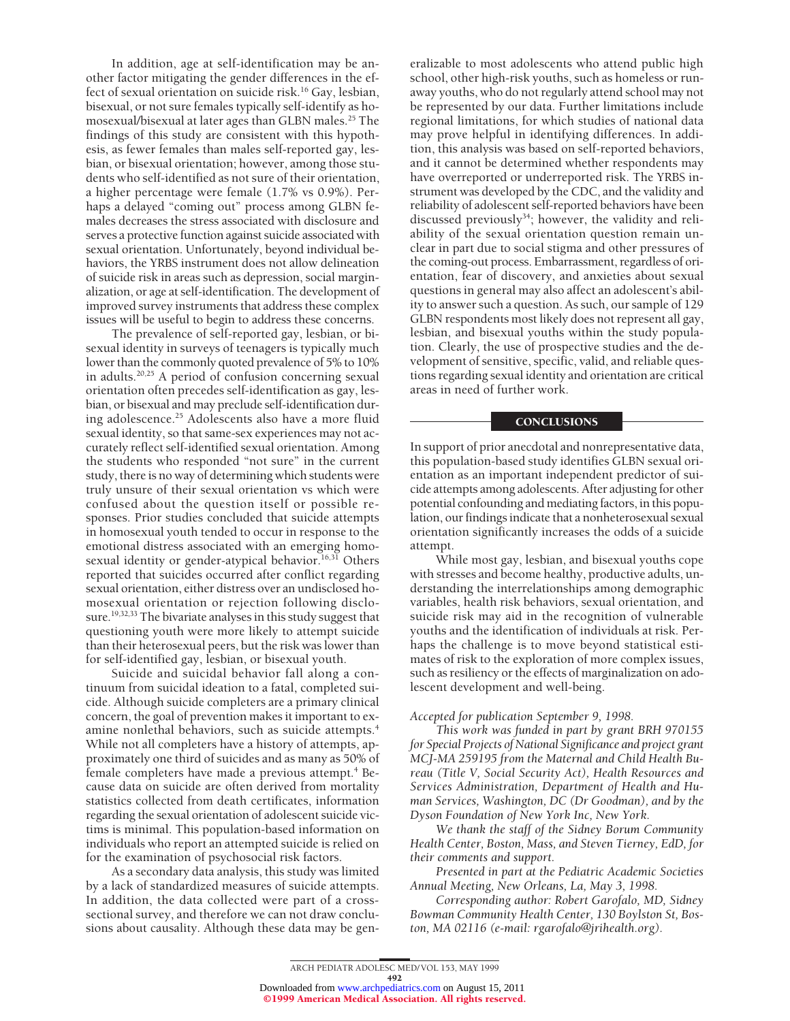In addition, age at self-identification may be another factor mitigating the gender differences in the effect of sexual orientation on suicide risk.16 Gay, lesbian, bisexual, or not sure females typically self-identify as homosexual/bisexual at later ages than GLBN males.<sup>25</sup> The findings of this study are consistent with this hypothesis, as fewer females than males self-reported gay, lesbian, or bisexual orientation; however, among those students who self-identified as not sure of their orientation, a higher percentage were female (1.7% vs 0.9%). Perhaps a delayed "coming out" process among GLBN females decreases the stress associated with disclosure and serves a protective function against suicide associated with sexual orientation. Unfortunately, beyond individual behaviors, the YRBS instrument does not allow delineation of suicide risk in areas such as depression, social marginalization, or age at self-identification. The development of improved survey instruments that address these complex issues will be useful to begin to address these concerns.

The prevalence of self-reported gay, lesbian, or bisexual identity in surveys of teenagers is typically much lower than the commonly quoted prevalence of 5% to 10% in adults.20,25 A period of confusion concerning sexual orientation often precedes self-identification as gay, lesbian, or bisexual and may preclude self-identification during adolescence.25 Adolescents also have a more fluid sexual identity, so that same-sex experiences may not accurately reflect self-identified sexual orientation. Among the students who responded "not sure" in the current study, there is no way of determining which students were truly unsure of their sexual orientation vs which were confused about the question itself or possible responses. Prior studies concluded that suicide attempts in homosexual youth tended to occur in response to the emotional distress associated with an emerging homosexual identity or gender-atypical behavior.<sup>16,31</sup> Others reported that suicides occurred after conflict regarding sexual orientation, either distress over an undisclosed homosexual orientation or rejection following disclosure.<sup>19,32,33</sup> The bivariate analyses in this study suggest that questioning youth were more likely to attempt suicide than their heterosexual peers, but the risk was lower than for self-identified gay, lesbian, or bisexual youth.

Suicide and suicidal behavior fall along a continuum from suicidal ideation to a fatal, completed suicide. Although suicide completers are a primary clinical concern, the goal of prevention makes it important to examine nonlethal behaviors, such as suicide attempts.<sup>4</sup> While not all completers have a history of attempts, approximately one third of suicides and as many as 50% of female completers have made a previous attempt.<sup>4</sup> Because data on suicide are often derived from mortality statistics collected from death certificates, information regarding the sexual orientation of adolescent suicide victims is minimal. This population-based information on individuals who report an attempted suicide is relied on for the examination of psychosocial risk factors.

As a secondary data analysis, this study was limited by a lack of standardized measures of suicide attempts. In addition, the data collected were part of a crosssectional survey, and therefore we can not draw conclusions about causality. Although these data may be generalizable to most adolescents who attend public high school, other high-risk youths, such as homeless or runaway youths, who do not regularly attend school may not be represented by our data. Further limitations include regional limitations, for which studies of national data may prove helpful in identifying differences. In addition, this analysis was based on self-reported behaviors, and it cannot be determined whether respondents may have overreported or underreported risk. The YRBS instrument was developed by the CDC, and the validity and reliability of adolescent self-reported behaviors have been discussed previously<sup>34</sup>; however, the validity and reliability of the sexual orientation question remain unclear in part due to social stigma and other pressures of the coming-out process. Embarrassment, regardless of orientation, fear of discovery, and anxieties about sexual questions in general may also affect an adolescent's ability to answer such a question. As such, our sample of 129 GLBN respondents most likely does not represent all gay, lesbian, and bisexual youths within the study population. Clearly, the use of prospective studies and the development of sensitive, specific, valid, and reliable questions regarding sexual identity and orientation are critical areas in need of further work.

# **CONCLUSIONS**

In support of prior anecdotal and nonrepresentative data, this population-based study identifies GLBN sexual orientation as an important independent predictor of suicide attempts among adolescents. After adjusting for other potential confounding and mediating factors, in this population, our findings indicate that a nonheterosexual sexual orientation significantly increases the odds of a suicide attempt.

While most gay, lesbian, and bisexual youths cope with stresses and become healthy, productive adults, understanding the interrelationships among demographic variables, health risk behaviors, sexual orientation, and suicide risk may aid in the recognition of vulnerable youths and the identification of individuals at risk. Perhaps the challenge is to move beyond statistical estimates of risk to the exploration of more complex issues, such as resiliency or the effects of marginalization on adolescent development and well-being.

# *Accepted for publication September 9, 1998.*

*This work was funded in part by grant BRH 970155 for Special Projects of National Significance and project grant MCJ-MA 259195 from the Maternal and Child Health Bureau (Title V, Social Security Act), Health Resources and Services Administration, Department of Health and Human Services, Washington, DC (Dr Goodman), and by the Dyson Foundation of New York Inc, New York.*

*We thank the staff of the Sidney Borum Community Health Center, Boston, Mass, and Steven Tierney, EdD, for their comments and support.*

*Presented in part at the Pediatric Academic Societies Annual Meeting, New Orleans, La, May 3, 1998.*

*Corresponding author: Robert Garofalo, MD, Sidney Bowman Community Health Center, 130 Boylston St, Boston, MA 02116 (e-mail: rgarofalo@jrihealth.org).*